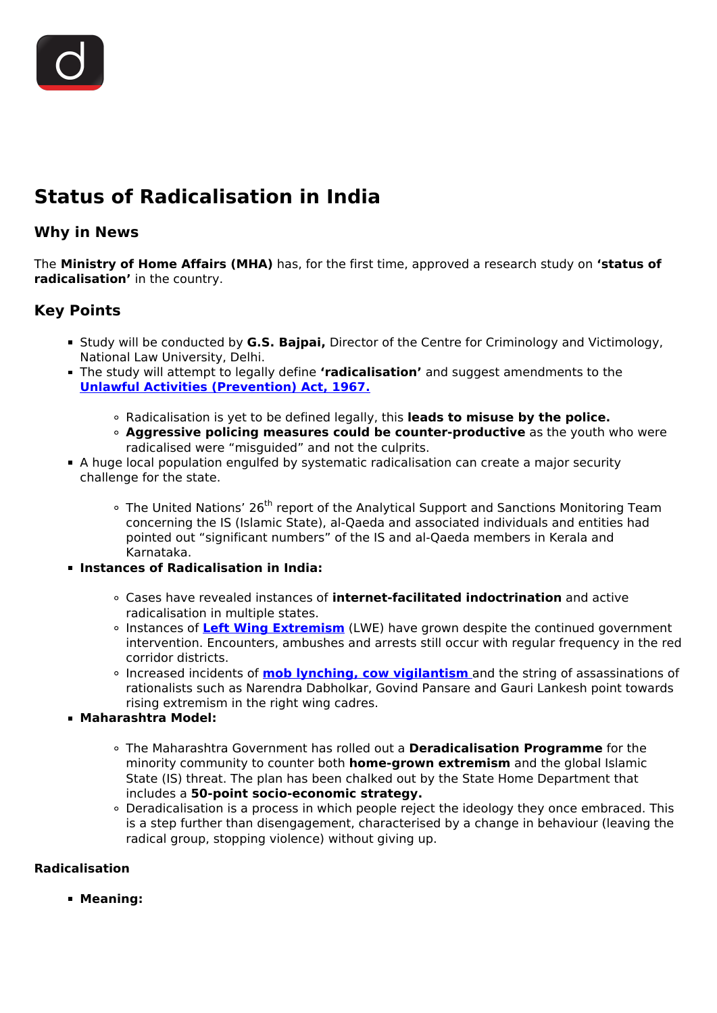# **Status of Radicalisation in India**

## **Why in News**

The **Ministry of Home Affairs (MHA)** has, for the first time, approved a research study on **'status of radicalisation'** in the country.

# **Key Points**

- Study will be conducted by **G.S. Bajpai,** Director of the Centre for Criminology and Victimology, National Law University, Delhi.
- The study will attempt to legally define **'radicalisation'** and suggest amendments to the **[Unlawful Activities \(Prevention\) Act, 1967.](/daily-updates/daily-news-analysis/demand-for-repeal-of-uapa)**
	- Radicalisation is yet to be defined legally, this **leads to misuse by the police.**
	- **Aggressive policing measures could be counter-productive** as the youth who were radicalised were "misguided" and not the culprits.
- A huge local population engulfed by systematic radicalisation can create a major security challenge for the state.
	- o The United Nations' 26<sup>th</sup> report of the Analytical Support and Sanctions Monitoring Team concerning the IS (Islamic State), al-Qaeda and associated individuals and entities had pointed out "significant numbers" of the IS and al-Qaeda members in Kerala and Karnataka.
- **Instances of Radicalisation in India:**
	- Cases have revealed instances of **internet-facilitated indoctrination** and active radicalisation in multiple states.
	- Instances of **[Left Wing Extremism](/daily-updates/daily-news-analysis/left-wing-extremism-in-india)** (LWE) have grown despite the continued government intervention. Encounters, ambushes and arrests still occur with regular frequency in the red corridor districts.
	- Increased incidents of **[mob lynching, cow vigilantism](/daily-updates/daily-news-analysis/mob-lynching-1)** and the string of assassinations of rationalists such as Narendra Dabholkar, Govind Pansare and Gauri Lankesh point towards rising extremism in the right wing cadres.
- **Maharashtra Model:**
	- The Maharashtra Government has rolled out a **Deradicalisation Programme** for the minority community to counter both **home-grown extremism** and the global Islamic State (IS) threat. The plan has been chalked out by the State Home Department that includes a **50-point socio-economic strategy.**
	- Deradicalisation is a process in which people reject the ideology they once embraced. This is a step further than disengagement, characterised by a change in behaviour (leaving the radical group, stopping violence) without giving up.

## **Radicalisation**

**Meaning:**